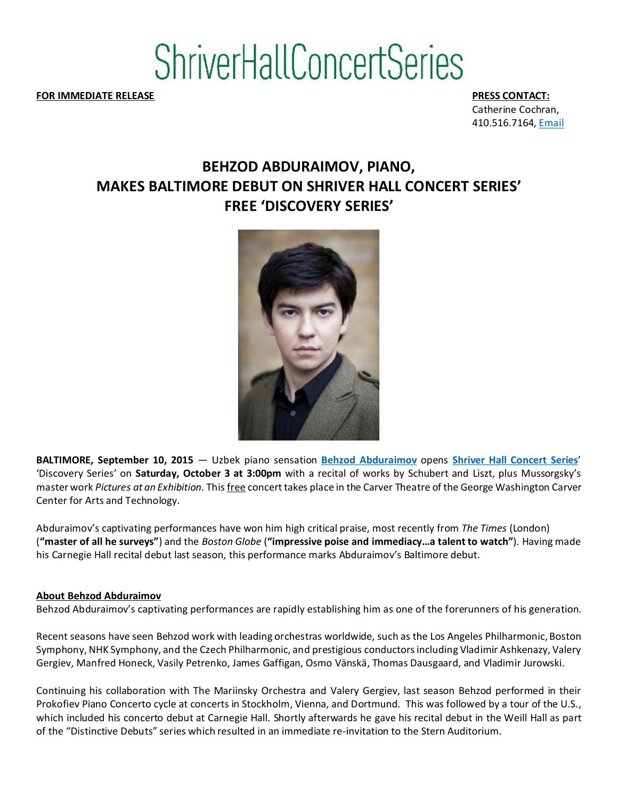# **ShriverHallConcertSeries**

**FOR IMMEDIATE RELEASE PRESS CONTACT:**

Catherine Cochran, 410.516.7164, Email

## **BEHZOD ABDURAIMOV, PIANO, MAKES BALTIMORE DEBUT ON SHRIVER HALL CONCERT SERIES' FREE 'DISCOVERY SERIES'**



**BALTIMORE, September 10, 2015** — Uzbek piano sensation **Behzod Abduraimov** opens **Shriver Hall Concert Series**' 'Discovery Series' on **Saturday, October 3 at 3:00pm** with a recital of works by Schubert and Liszt, plus Mussorgsky's master work *Pictures at an Exhibition*. This free concert takes place in the Carver Theatre of the George Washington Carver Center for Arts and Technology.

Abduraimov's captivating performances have won him high critical praise, most recently from *The Times* (London) (**"master of all he surveys"**) and the *Boston Globe* (**"impressive poise and immediacy…a talent to watch"**). Having made his Carnegie Hall recital debut last season*,* this performance marks Abduraimov's Baltimore debut.

#### **About Behzod Abduraimov**

Behzod Abduraimov's captivating performances are rapidly establishing him as one of the forerunners of his generation.

Recent seasons have seen Behzod work with leading orchestras worldwide, such as the Los Angeles Philharmonic, Boston Symphony, NHK Symphony, and the Czech Philharmonic, and prestigious conductors including Vladimir Ashkenazy, Valery Gergiev, Manfred Honeck, Vasily Petrenko, James Gaffigan, Osmo Vänskä, Thomas Dausgaard, and Vladimir Jurowski.

Continuing his collaboration with The Mariinsky Orchestra and Valery Gergiev, last season Behzod performed in their Prokofiev Piano Concerto cycle at concerts in Stockholm, Vienna, and Dortmund. This was followed by a tour of the U.S., which included his concerto debut at Carnegie Hall. Shortly afterwards he gave his recital debut in the Weill Hall as part of the "Distinctive Debuts" series which resulted in an immediate re-invitation to the Stern Auditorium.